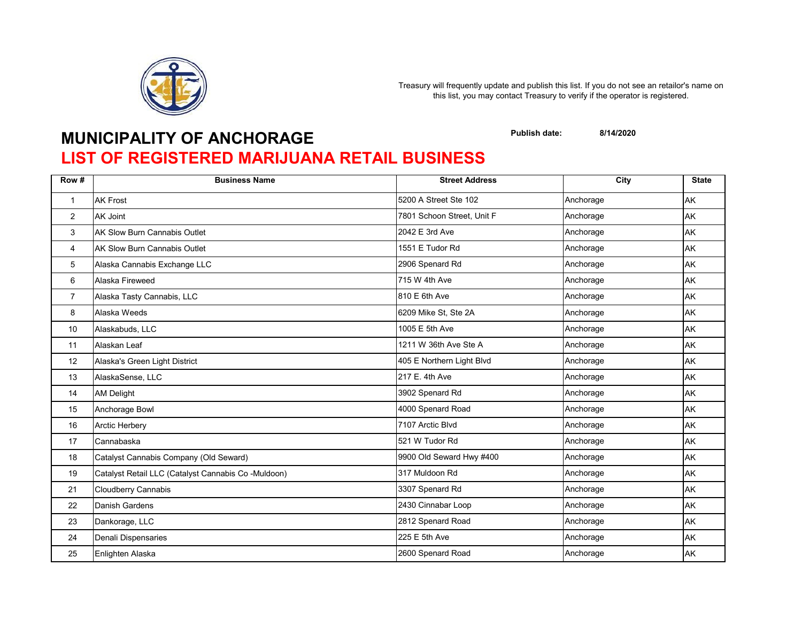

## **MUNICIPALITY OF ANCHORAGE**

**Publish date: 8/14/2020**

## **LIST OF REGISTERED MARIJUANA RETAIL BUSINESS**

| Row #          | <b>Business Name</b>                                | <b>Street Address</b>      | $\overline{C}$ ity | <b>State</b> |
|----------------|-----------------------------------------------------|----------------------------|--------------------|--------------|
| $\mathbf{1}$   | <b>AK Frost</b>                                     | 5200 A Street Ste 102      | Anchorage          | AK           |
| $\overline{c}$ | <b>AK Joint</b>                                     | 7801 Schoon Street, Unit F | Anchorage          | AK           |
| 3              | AK Slow Burn Cannabis Outlet                        | 2042 E 3rd Ave             | Anchorage          | AK           |
| 4              | <b>AK Slow Burn Cannabis Outlet</b>                 | 1551 E Tudor Rd            | Anchorage          | AK           |
| 5              | Alaska Cannabis Exchange LLC                        | 2906 Spenard Rd            | Anchorage          | AK           |
| 6              | Alaska Fireweed                                     | 715 W 4th Ave              | Anchorage          | AK           |
| $\overline{7}$ | Alaska Tasty Cannabis, LLC                          | 810 E 6th Ave              | Anchorage          | <b>AK</b>    |
| 8              | Alaska Weeds                                        | 6209 Mike St, Ste 2A       | Anchorage          | AK           |
| 10             | Alaskabuds, LLC                                     | 1005 E 5th Ave             | Anchorage          | AK           |
| 11             | Alaskan Leaf                                        | 1211 W 36th Ave Ste A      | Anchorage          | AK           |
| 12             | Alaska's Green Light District                       | 405 E Northern Light Blvd  | Anchorage          | AK           |
| 13             | AlaskaSense, LLC                                    | 217 E. 4th Ave             | Anchorage          | AK           |
| 14             | <b>AM Delight</b>                                   | 3902 Spenard Rd            | Anchorage          | AK           |
| 15             | Anchorage Bowl                                      | 4000 Spenard Road          | Anchorage          | AK           |
| 16             | Arctic Herbery                                      | 7107 Arctic Blvd           | Anchorage          | AK           |
| 17             | Cannabaska                                          | 521 W Tudor Rd             | Anchorage          | AK           |
| 18             | Catalyst Cannabis Company (Old Seward)              | 9900 Old Seward Hwy #400   | Anchorage          | AK           |
| 19             | Catalyst Retail LLC (Catalyst Cannabis Co -Muldoon) | 317 Muldoon Rd             | Anchorage          | AK           |
| 21             | Cloudberry Cannabis                                 | 3307 Spenard Rd            | Anchorage          | AK           |
| 22             | <b>Danish Gardens</b>                               | 2430 Cinnabar Loop         | Anchorage          | AK           |
| 23             | Dankorage, LLC                                      | 2812 Spenard Road          | Anchorage          | AK           |
| 24             | Denali Dispensaries                                 | 225 E 5th Ave              | Anchorage          | AK           |
| 25             | Enlighten Alaska                                    | 2600 Spenard Road          | Anchorage          | AK           |